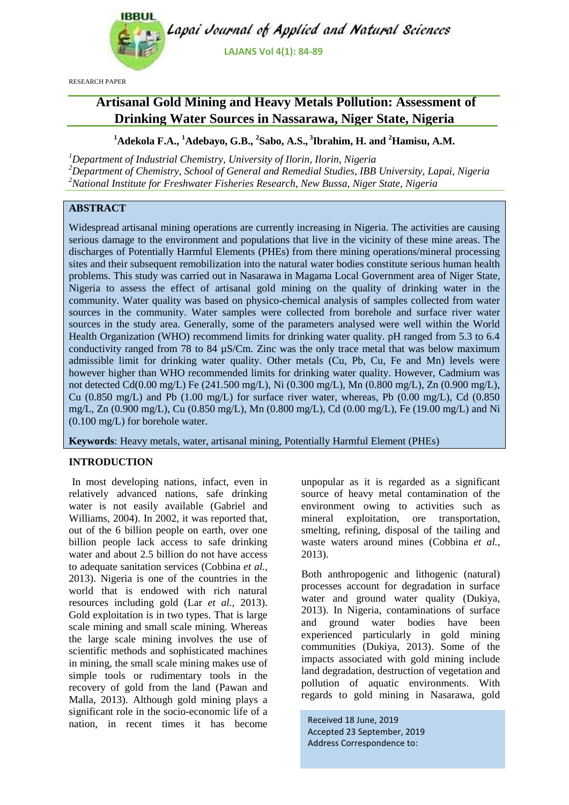

RESEARCH PAPER

# **Artisanal Gold Mining and Heavy Metals Pollution: Assessment of Drinking Water Sources in Nassarawa, Niger State, Nigeria**

**<sup>1</sup>Adekola F.A., <sup>1</sup>Adebayo, G.B., <sup>2</sup> Sabo, A.S., <sup>3</sup> Ibrahim, H. and <sup>2</sup>Hamisu, A.M.**

*<sup>1</sup>Department of Industrial Chemistry, University of Ilorin, Ilorin, Nigeria <sup>2</sup>Department of Chemistry, School of General and Remedial Studies, IBB University, Lapai, Nigeria <sup>2</sup>National Institute for Freshwater Fisheries Research, New Bussa, Niger State, Nigeria*

# **ABSTRACT**

Widespread artisanal mining operations are currently increasing in Nigeria. The activities are causing serious damage to the environment and populations that live in the vicinity of these mine areas. The discharges of Potentially Harmful Elements (PHEs) from there mining operations/mineral processing sites and their subsequent remobilization into the natural water bodies constitute serious human health problems. This study was carried out in Nasarawa in Magama Local Government area of Niger State, Nigeria to assess the effect of artisanal gold mining on the quality of drinking water in the community. Water quality was based on physico-chemical analysis of samples collected from water sources in the community. Water samples were collected from borehole and surface river water sources in the study area. Generally, some of the parameters analysed were well within the World Health Organization (WHO) recommend limits for drinking water quality. pH ranged from 5.3 to 6.4 conductivity ranged from 78 to 84 µS/Cm. Zinc was the only trace metal that was below maximum admissible limit for drinking water quality. Other metals (Cu, Pb, Cu, Fe and Mn) levels were however higher than WHO recommended limits for drinking water quality. However, Cadmium was not detected Cd(0.00 mg/L) Fe (241.500 mg/L), Ni (0.300 mg/L), Mn (0.800 mg/L), Zn (0.900 mg/L), Cu  $(0.850 \text{ mg/L})$  and Pb  $(1.00 \text{ mg/L})$  for surface river water, whereas, Pb  $(0.00 \text{ mg/L})$ , Cd  $(0.850 \text{ mg/L})$ mg/L, Zn (0.900 mg/L), Cu (0.850 mg/L), Mn (0.800 mg/L), Cd (0.00 mg/L), Fe (19.00 mg/L) and Ni (0.100 mg/L) for borehole water.

**Keywords**: Heavy metals, water, artisanal mining, Potentially Harmful Element (PHEs)

### **INTRODUCTION**

In most developing nations, infact, even in relatively advanced nations, safe drinking water is not easily available (Gabriel and Williams, 2004). In 2002, it was reported that, out of the 6 billion people on earth, over one billion people lack access to safe drinking water and about 2.5 billion do not have access to adequate sanitation services (Cobbina *et al.,* 2013). Nigeria is one of the countries in the world that is endowed with rich natural resources including gold (Lar *et al.,* 2013). Gold exploitation is in two types. That is large scale mining and small scale mining. Whereas the large scale mining involves the use of scientific methods and sophisticated machines in mining, the small scale mining makes use of simple tools or rudimentary tools in the recovery of gold from the land (Pawan and Malla, 2013). Although gold mining plays a significant role in the socio-economic life of a nation, in recent times it has become unpopular as it is regarded as a significant source of heavy metal contamination of the environment owing to activities such as mineral exploitation, ore transportation, smelting, refining, disposal of the tailing and waste waters around mines (Cobbina *et al.,*  2013).

Both anthropogenic and lithogenic (natural) processes account for degradation in surface water and ground water quality (Dukiya, 2013). In Nigeria, contaminations of surface and ground water bodies have been experienced particularly in gold mining communities (Dukiya, 2013). Some of the impacts associated with gold mining include land degradation, destruction of vegetation and pollution of aquatic environments. With regards to gold mining in Nasarawa, gold

Received 18 June, 2019 Accepted 23 September, 2019 Address Correspondence to: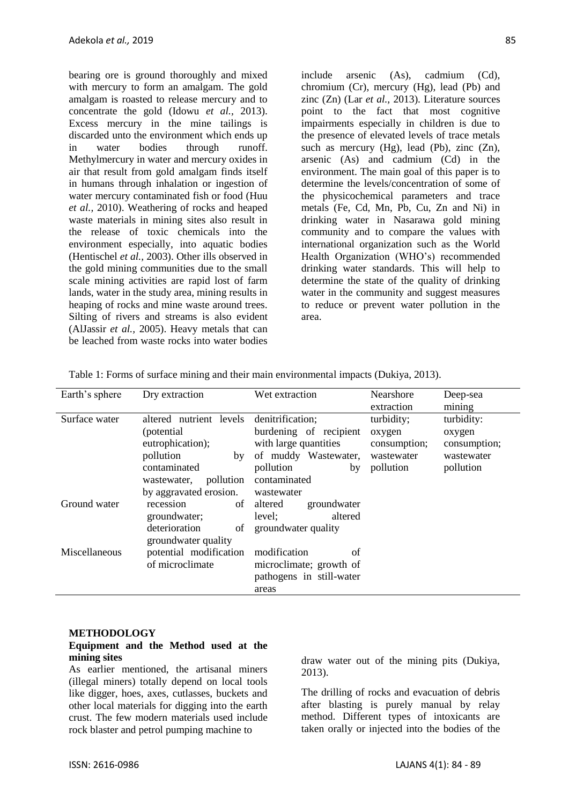bearing ore is ground thoroughly and mixed with mercury to form an amalgam. The gold amalgam is roasted to release mercury and to concentrate the gold (Idowu *et al.,* 2013). Excess mercury in the mine tailings is discarded unto the environment which ends up in water bodies through runoff. Methylmercury in water and mercury oxides in air that result from gold amalgam finds itself in humans through inhalation or ingestion of water mercury contaminated fish or food (Huu *et al.,* 2010). Weathering of rocks and heaped waste materials in mining sites also result in the release of toxic chemicals into the environment especially, into aquatic bodies (Hentischel *et al.,* 2003). Other ills observed in the gold mining communities due to the small scale mining activities are rapid lost of farm lands, water in the study area, mining results in heaping of rocks and mine waste around trees. Silting of rivers and streams is also evident (AlJassir *et al.,* 2005). Heavy metals that can be leached from waste rocks into water bodies

include arsenic (As), cadmium (Cd), chromium (Cr), mercury (Hg), lead (Pb) and zinc (Zn) (Lar *et al.,* 2013). Literature sources point to the fact that most cognitive impairments especially in children is due to the presence of elevated levels of trace metals such as mercury  $(Hg)$ , lead  $(Pb)$ , zinc  $(Zn)$ , arsenic (As) and cadmium (Cd) in the environment. The main goal of this paper is to determine the levels/concentration of some of the physicochemical parameters and trace metals (Fe, Cd, Mn, Pb, Cu, Zn and Ni) in drinking water in Nasarawa gold mining community and to compare the values with international organization such as the World Health Organization (WHO's) recommended drinking water standards. This will help to determine the state of the quality of drinking water in the community and suggest measures to reduce or prevent water pollution in the area.

| Earth's sphere | Dry extraction                                                                                                                                      | Wet extraction                                                                                                                               | Nearshore<br>extraction                                         | Deep-sea<br>mining                                              |
|----------------|-----------------------------------------------------------------------------------------------------------------------------------------------------|----------------------------------------------------------------------------------------------------------------------------------------------|-----------------------------------------------------------------|-----------------------------------------------------------------|
| Surface water  | altered nutrient levels<br>(potential)<br>eutrophication);<br>pollution<br>by<br>contaminated<br>pollution<br>wastewater,<br>by aggravated erosion. | denitrification;<br>burdening of recipient<br>with large quantities<br>of muddy Wastewater,<br>pollution<br>by<br>contaminated<br>wastewater | turbidity;<br>oxygen<br>consumption;<br>wastewater<br>pollution | turbidity:<br>oxygen<br>consumption;<br>wastewater<br>pollution |
| Ground water   | recession<br>groundwater;<br>deterioration<br>of<br>groundwater quality                                                                             | of altered<br>groundwater<br>altered<br>level;<br>groundwater quality                                                                        |                                                                 |                                                                 |
| Miscellaneous  | potential modification<br>of microclimate                                                                                                           | modification<br>of<br>microclimate; growth of<br>pathogens in still-water<br>areas                                                           |                                                                 |                                                                 |

Table 1: Forms of surface mining and their main environmental impacts (Dukiya, 2013).

#### **METHODOLOGY**

#### **Equipment and the Method used at the mining sites**

As earlier mentioned, the artisanal miners (illegal miners) totally depend on local tools like digger, hoes, axes, cutlasses, buckets and other local materials for digging into the earth crust. The few modern materials used include rock blaster and petrol pumping machine to

draw water out of the mining pits (Dukiya, 2013).

The drilling of rocks and evacuation of debris after blasting is purely manual by relay method. Different types of intoxicants are taken orally or injected into the bodies of the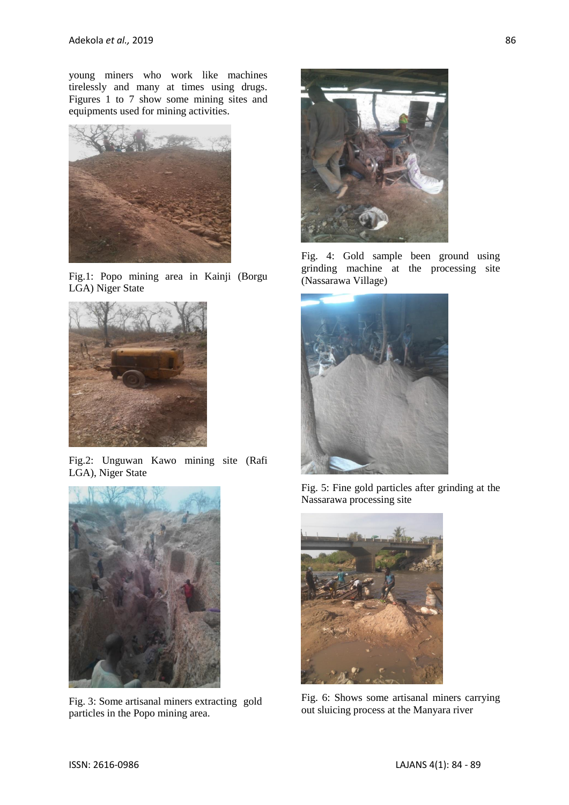young miners who work like machines tirelessly and many at times using drugs. Figures 1 to 7 show some mining sites and equipments used for mining activities.



Fig.1: Popo mining area in Kainji (Borgu LGA) Niger State



Fig.2: Unguwan Kawo mining site (Rafi LGA), Niger State



Fig. 3: Some artisanal miners extracting gold particles in the Popo mining area.



Fig. 4: Gold sample been ground using grinding machine at the processing site (Nassarawa Village)



Fig. 5: Fine gold particles after grinding at the Nassarawa processing site



Fig. 6: Shows some artisanal miners carrying out sluicing process at the Manyara river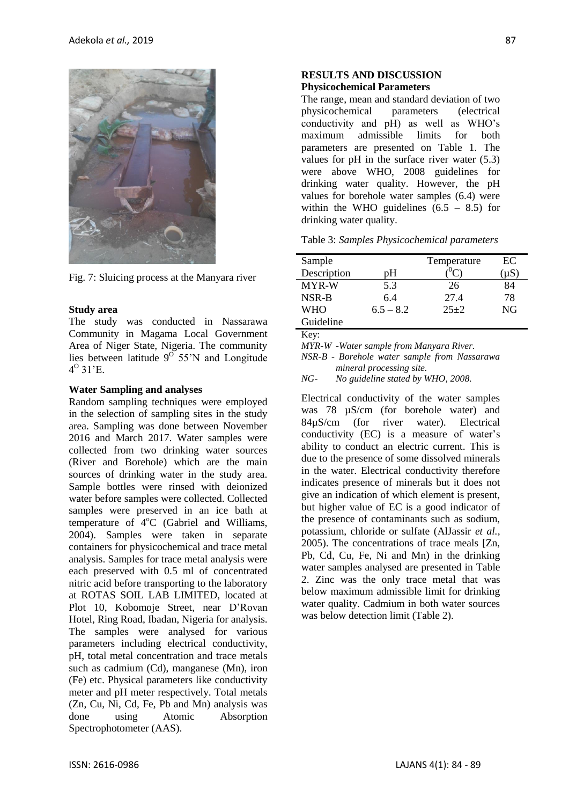

Fig. 7: Sluicing process at the Manyara river

#### **Study area**

The study was conducted in Nassarawa Community in Magama Local Government Area of Niger State, Nigeria. The community lies between latitude  $9^{\circ}$  55'N and Longitude  $4^{\circ}$  31'E.

#### **Water Sampling and analyses**

Random sampling techniques were employed in the selection of sampling sites in the study area. Sampling was done between November 2016 and March 2017. Water samples were collected from two drinking water sources (River and Borehole) which are the main sources of drinking water in the study area. Sample bottles were rinsed with deionized water before samples were collected. Collected samples were preserved in an ice bath at temperature of  $4^{\circ}$ C (Gabriel and Williams, 2004). Samples were taken in separate containers for physicochemical and trace metal analysis. Samples for trace metal analysis were each preserved with 0.5 ml of concentrated nitric acid before transporting to the laboratory at ROTAS SOIL LAB LIMITED, located at Plot 10, Kobomoje Street, near D'Rovan Hotel, Ring Road, Ibadan, Nigeria for analysis. The samples were analysed for various parameters including electrical conductivity, pH, total metal concentration and trace metals such as cadmium (Cd), manganese (Mn), iron (Fe) etc. Physical parameters like conductivity meter and pH meter respectively. Total metals (Zn, Cu, Ni, Cd, Fe, Pb and Mn) analysis was done using Atomic Absorption Spectrophotometer (AAS).

#### **RESULTS AND DISCUSSION Physicochemical Parameters**

The range, mean and standard deviation of two physicochemical parameters (electrical conductivity and pH) as well as WHO's maximum admissible limits for both parameters are presented on Table 1. The values for pH in the surface river water (5.3) were above WHO, 2008 guidelines for drinking water quality. However, the pH values for borehole water samples (6.4) were within the WHO guidelines  $(6.5 - 8.5)$  for drinking water quality.

| Table 3: Samples Physicochemical parameters |  |  |  |  |
|---------------------------------------------|--|--|--|--|
|---------------------------------------------|--|--|--|--|

| Sample      |             | Temperature | EС  |
|-------------|-------------|-------------|-----|
| Description | pΗ          |             | uS. |
| MYR-W       | 5.3         | 26          | 84  |
| NSR-B       | 6.4         | 27.4        | 78  |
| <b>WHO</b>  | $6.5 - 8.2$ | $25+2$      | NG  |
| Guideline   |             |             |     |

Key:

*MYR-W -Water sample from Manyara River.* 

*NSR-B - Borehole water sample from Nassarawa mineral processing site.* 

Electrical conductivity of the water samples was 78 µS/cm (for borehole water) and 84µS/cm (for river water). Electrical conductivity (EC) is a measure of water's ability to conduct an electric current. This is due to the presence of some dissolved minerals in the water. Electrical conductivity therefore indicates presence of minerals but it does not give an indication of which element is present, but higher value of EC is a good indicator of the presence of contaminants such as sodium, potassium, chloride or sulfate (AlJassir *et al.,*  2005). The concentrations of trace meals [Zn, Pb, Cd, Cu, Fe, Ni and Mn) in the drinking water samples analysed are presented in Table 2. Zinc was the only trace metal that was below maximum admissible limit for drinking water quality. Cadmium in both water sources was below detection limit (Table 2).

*NG- No guideline stated by WHO, 2008.*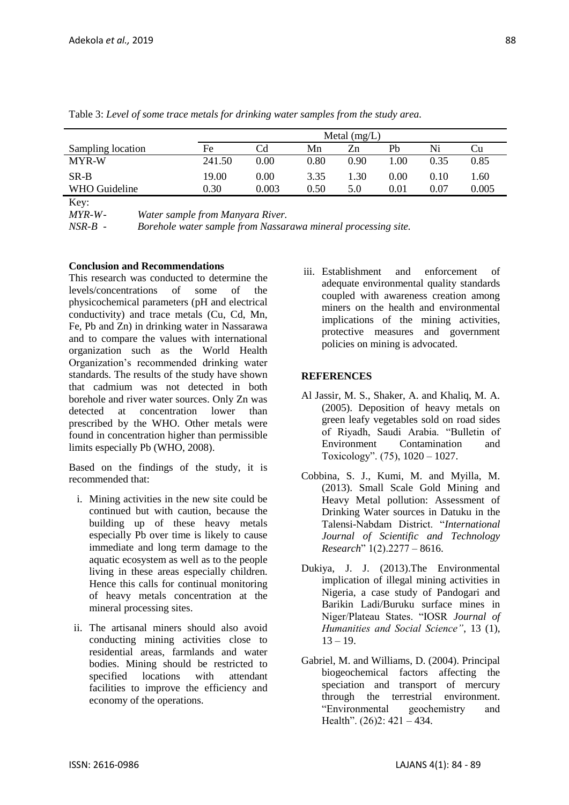| I            |    |    |
|--------------|----|----|
| I<br>۰.      | ۰. | I  |
| ۰.<br>×<br>v | ×  | ۰. |

|                   |        | Metal $(mg/L)$ |      |      |      |          |       |
|-------------------|--------|----------------|------|------|------|----------|-------|
| Sampling location | Fe     | Cd             | Mn   | Zn   | Pb   | Ni       | Ċu    |
| <b>MYR-W</b>      | 241.50 | 0.00           | 0.80 | 0.90 | .00  | 0.35     | 0.85  |
| $SR-B$            | 19.00  | 0.00           | 3.35 | 1.30 | 0.00 | 0.10     | l.60  |
| WHO Guideline     | 0.30   | 0.003          | 0.50 | 5.0  | 0.01 | $0.07\,$ | 0.005 |
| $V \sim$          |        |                |      |      |      |          |       |

Table 3: *Level of some trace metals for drinking water samples from the study area.*

Key:

*MYR-W- Water sample from Manyara River.* 

*NSR-B - Borehole water sample from Nassarawa mineral processing site.* 

### **Conclusion and Recommendations**

This research was conducted to determine the levels/concentrations of some of the physicochemical parameters (pH and electrical conductivity) and trace metals (Cu, Cd, Mn, Fe, Pb and Zn) in drinking water in Nassarawa and to compare the values with international organization such as the World Health Organization's recommended drinking water standards. The results of the study have shown that cadmium was not detected in both borehole and river water sources. Only Zn was detected at concentration lower than prescribed by the WHO. Other metals were found in concentration higher than permissible limits especially Pb (WHO, 2008).

Based on the findings of the study, it is recommended that:

- i. Mining activities in the new site could be continued but with caution, because the building up of these heavy metals especially Pb over time is likely to cause immediate and long term damage to the aquatic ecosystem as well as to the people living in these areas especially children. Hence this calls for continual monitoring of heavy metals concentration at the mineral processing sites.
- ii. The artisanal miners should also avoid conducting mining activities close to residential areas, farmlands and water bodies. Mining should be restricted to specified locations with attendant facilities to improve the efficiency and economy of the operations.

iii. Establishment and enforcement of adequate environmental quality standards coupled with awareness creation among miners on the health and environmental implications of the mining activities, protective measures and government policies on mining is advocated.

## **REFERENCES**

- Al Jassir, M. S., Shaker, A. and Khaliq, M. A. (2005). Deposition of heavy metals on green leafy vegetables sold on road sides of Riyadh, Saudi Arabia. "Bulletin of Environment Contamination and Toxicology". (75), 1020 – 1027.
- Cobbina, S. J., Kumi, M. and Myilla, M. (2013). Small Scale Gold Mining and Heavy Metal pollution: Assessment of Drinking Water sources in Datuku in the Talensi-Nabdam District. "*International Journal of Scientific and Technology Research*" 1(2).2277 – 8616.
- Dukiya, J. J. (2013).The Environmental implication of illegal mining activities in Nigeria, a case study of Pandogari and Barikin Ladi/Buruku surface mines in Niger/Plateau States. "IOSR *Journal of Humanities and Social Science"*, 13 (1),  $13 - 19.$
- Gabriel, M. and Williams, D. (2004). Principal biogeochemical factors affecting the speciation and transport of mercury through the terrestrial environment. "Environmental geochemistry and Health".  $(26)2$ :  $421 - 434$ .